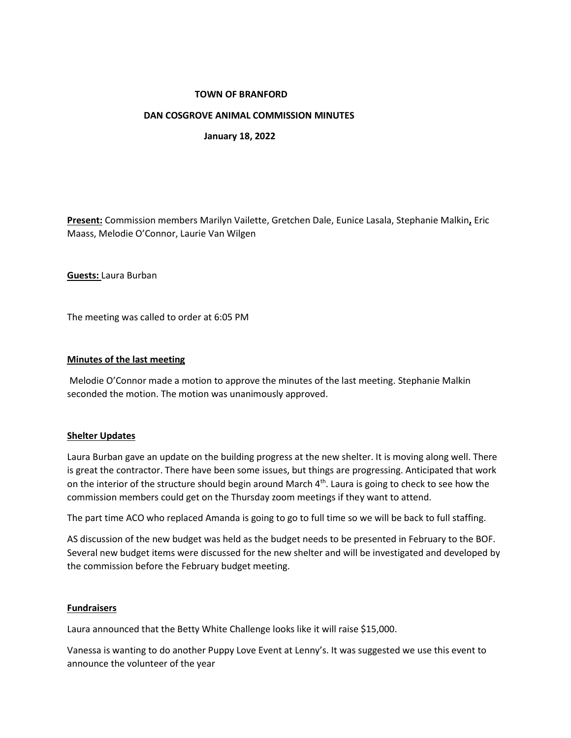# **TOWN OF BRANFORD**

# **DAN COSGROVE ANIMAL COMMISSION MINUTES**

 **January 18, 2022**

**Present:** Commission members Marilyn Vailette, Gretchen Dale, Eunice Lasala, Stephanie Malkin**,** Eric Maass, Melodie O'Connor, Laurie Van Wilgen

**Guests:** Laura Burban

The meeting was called to order at 6:05 PM

### **Minutes of the last meeting**

Melodie O'Connor made a motion to approve the minutes of the last meeting. Stephanie Malkin seconded the motion. The motion was unanimously approved.

### **Shelter Updates**

Laura Burban gave an update on the building progress at the new shelter. It is moving along well. There is great the contractor. There have been some issues, but things are progressing. Anticipated that work on the interior of the structure should begin around March  $4<sup>th</sup>$ . Laura is going to check to see how the commission members could get on the Thursday zoom meetings if they want to attend.

The part time ACO who replaced Amanda is going to go to full time so we will be back to full staffing.

AS discussion of the new budget was held as the budget needs to be presented in February to the BOF. Several new budget items were discussed for the new shelter and will be investigated and developed by the commission before the February budget meeting.

### **Fundraisers**

Laura announced that the Betty White Challenge looks like it will raise \$15,000.

Vanessa is wanting to do another Puppy Love Event at Lenny's. It was suggested we use this event to announce the volunteer of the year